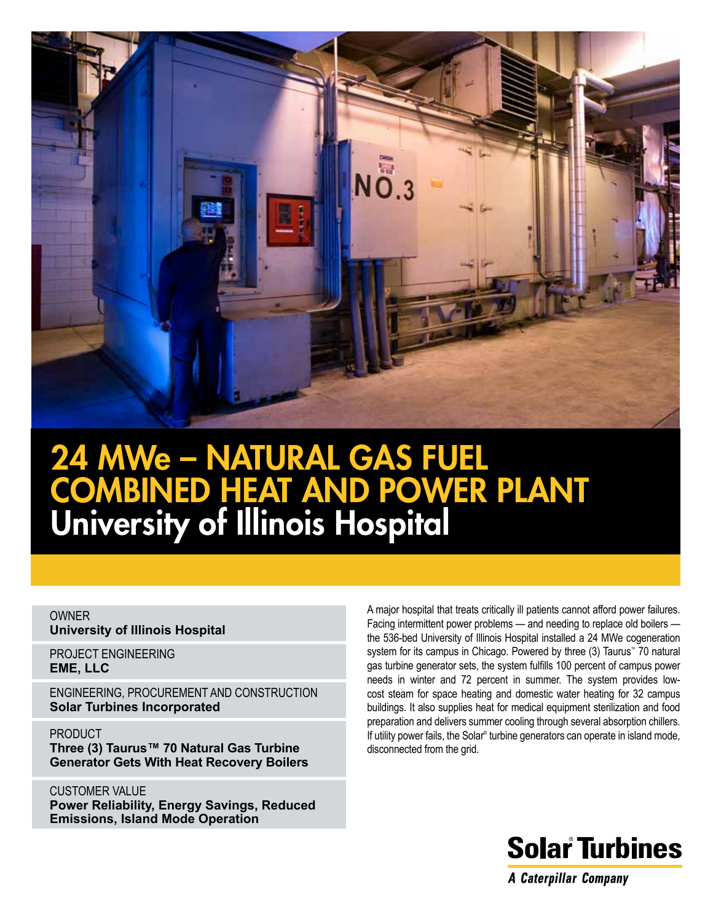

# 24 MWe – Natural Gas Fuel COMBINED HEAT AND POWER PLANT University of Illinois Hospital

#### OWNER **University of Illinois Hospital**

PROJECT ENGINEERING **EME, LLC**

ENGINEERING, PROCUREMENT AND CONSTRUCTION **Solar Turbines Incorporated**

PRODUCT **Three (3) Taurus™ 70 Natural Gas Turbine Generator Gets With Heat Recovery Boilers**

CUSTOMER VALUE **Power Reliability, Energy Savings, Reduced Emissions, Island Mode Operation**

A major hospital that treats critically ill patients cannot afford power failures. Facing intermittent power problems — and needing to replace old boilers the 536-bed University of Illinois Hospital installed a 24 MWe cogeneration system for its campus in Chicago. Powered by three (3) Taurus™ 70 natural gas turbine generator sets, the system fulfills 100 percent of campus power needs in winter and 72 percent in summer. The system provides lowcost steam for space heating and domestic water heating for 32 campus buildings. It also supplies heat for medical equipment sterilization and food preparation and delivers summer cooling through several absorption chillers. If utility power fails, the Solar<sup>®</sup> turbine generators can operate in island mode, disconnected from the grid.